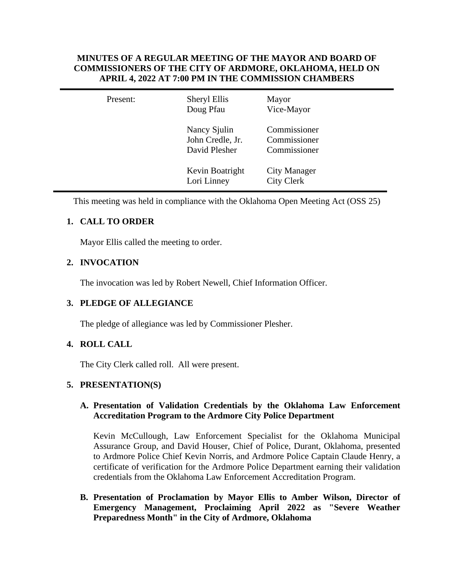## **MINUTES OF A REGULAR MEETING OF THE MAYOR AND BOARD OF COMMISSIONERS OF THE CITY OF ARDMORE, OKLAHOMA, HELD ON APRIL 4, 2022 AT 7:00 PM IN THE COMMISSION CHAMBERS**

| Present: | Sheryl Ellis<br>Doug Pfau                         | Mayor<br>Vice-Mayor                          |  |
|----------|---------------------------------------------------|----------------------------------------------|--|
|          | Nancy Sjulin<br>John Credle, Jr.<br>David Plesher | Commissioner<br>Commissioner<br>Commissioner |  |
|          | Kevin Boatright<br>Lori Linney                    | <b>City Manager</b><br><b>City Clerk</b>     |  |

This meeting was held in compliance with the Oklahoma Open Meeting Act (OSS 25)

# **1. CALL TO ORDER**

Mayor Ellis called the meeting to order.

# **2. INVOCATION**

The invocation was led by Robert Newell, Chief Information Officer.

## **3. PLEDGE OF ALLEGIANCE**

The pledge of allegiance was led by Commissioner Plesher.

## **4. ROLL CALL**

The City Clerk called roll. All were present.

## **5. PRESENTATION(S)**

## **A. Presentation of Validation Credentials by the Oklahoma Law Enforcement Accreditation Program to the Ardmore City Police Department**

Kevin McCullough, Law Enforcement Specialist for the Oklahoma Municipal Assurance Group, and David Houser, Chief of Police, Durant, Oklahoma, presented to Ardmore Police Chief Kevin Norris, and Ardmore Police Captain Claude Henry, a certificate of verification for the Ardmore Police Department earning their validation credentials from the Oklahoma Law Enforcement Accreditation Program.

**B. Presentation of Proclamation by Mayor Ellis to Amber Wilson, Director of Emergency Management, Proclaiming April 2022 as "Severe Weather Preparedness Month" in the City of Ardmore, Oklahoma**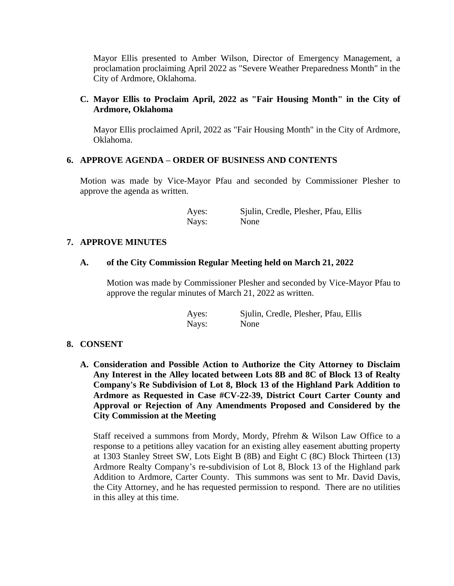Mayor Ellis presented to Amber Wilson, Director of Emergency Management, a proclamation proclaiming April 2022 as "Severe Weather Preparedness Month" in the City of Ardmore, Oklahoma.

## **C. Mayor Ellis to Proclaim April, 2022 as "Fair Housing Month" in the City of Ardmore, Oklahoma**

Mayor Ellis proclaimed April, 2022 as "Fair Housing Month" in the City of Ardmore, Oklahoma.

## **6. APPROVE AGENDA – ORDER OF BUSINESS AND CONTENTS**

Motion was made by Vice-Mayor Pfau and seconded by Commissioner Plesher to approve the agenda as written.

> Ayes: Sjulin, Credle, Plesher, Pfau, Ellis Nays: None

## **7. APPROVE MINUTES**

## **A. of the City Commission Regular Meeting held on March 21, 2022**

Motion was made by Commissioner Plesher and seconded by Vice-Mayor Pfau to approve the regular minutes of March 21, 2022 as written.

| Ayes: | Sjulin, Credle, Plesher, Pfau, Ellis |
|-------|--------------------------------------|
| Nays: | None                                 |

## **8. CONSENT**

**A. Consideration and Possible Action to Authorize the City Attorney to Disclaim Any Interest in the Alley located between Lots 8B and 8C of Block 13 of Realty Company's Re Subdivision of Lot 8, Block 13 of the Highland Park Addition to Ardmore as Requested in Case #CV-22-39, District Court Carter County and Approval or Rejection of Any Amendments Proposed and Considered by the City Commission at the Meeting**

Staff received a summons from Mordy, Mordy, Pfrehm & Wilson Law Office to a response to a petitions alley vacation for an existing alley easement abutting property at 1303 Stanley Street SW, Lots Eight B (8B) and Eight C (8C) Block Thirteen (13) Ardmore Realty Company's re-subdivision of Lot 8, Block 13 of the Highland park Addition to Ardmore, Carter County. This summons was sent to Mr. David Davis, the City Attorney, and he has requested permission to respond. There are no utilities in this alley at this time.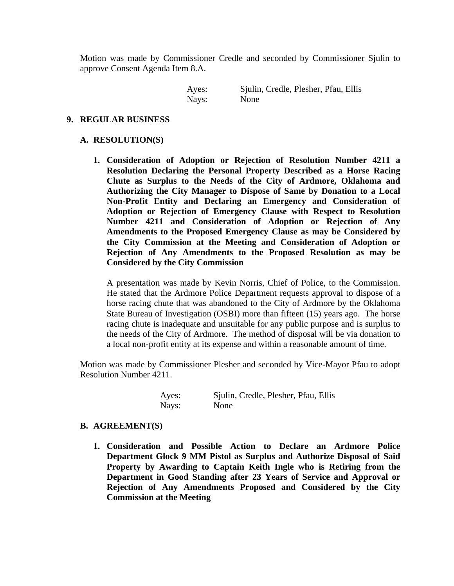Motion was made by Commissioner Credle and seconded by Commissioner Sjulin to approve Consent Agenda Item 8.A.

> Ayes: Sjulin, Credle, Plesher, Pfau, Ellis Nays: None

#### **9. REGULAR BUSINESS**

#### **A. RESOLUTION(S)**

**1. Consideration of Adoption or Rejection of Resolution Number 4211 a Resolution Declaring the Personal Property Described as a Horse Racing Chute as Surplus to the Needs of the City of Ardmore, Oklahoma and Authorizing the City Manager to Dispose of Same by Donation to a Local Non-Profit Entity and Declaring an Emergency and Consideration of Adoption or Rejection of Emergency Clause with Respect to Resolution Number 4211 and Consideration of Adoption or Rejection of Any Amendments to the Proposed Emergency Clause as may be Considered by the City Commission at the Meeting and Consideration of Adoption or Rejection of Any Amendments to the Proposed Resolution as may be Considered by the City Commission**

A presentation was made by Kevin Norris, Chief of Police, to the Commission. He stated that the Ardmore Police Department requests approval to dispose of a horse racing chute that was abandoned to the City of Ardmore by the Oklahoma State Bureau of Investigation (OSBI) more than fifteen (15) years ago. The horse racing chute is inadequate and unsuitable for any public purpose and is surplus to the needs of the City of Ardmore. The method of disposal will be via donation to a local non-profit entity at its expense and within a reasonable amount of time.

Motion was made by Commissioner Plesher and seconded by Vice-Mayor Pfau to adopt Resolution Number 4211.

| Ayes: | Sjulin, Credle, Plesher, Pfau, Ellis |
|-------|--------------------------------------|
| Nays: | None                                 |

#### **B. AGREEMENT(S)**

**1. Consideration and Possible Action to Declare an Ardmore Police Department Glock 9 MM Pistol as Surplus and Authorize Disposal of Said Property by Awarding to Captain Keith Ingle who is Retiring from the Department in Good Standing after 23 Years of Service and Approval or Rejection of Any Amendments Proposed and Considered by the City Commission at the Meeting**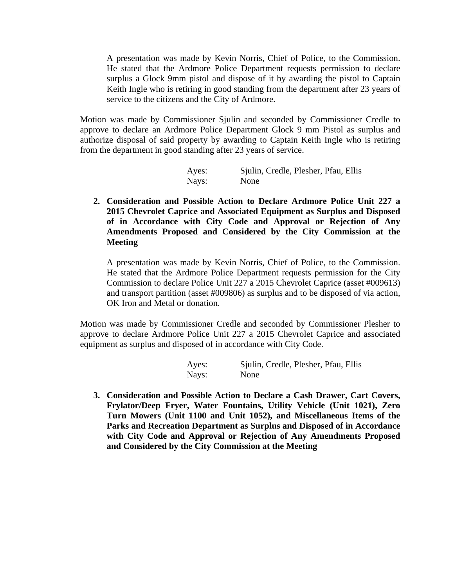A presentation was made by Kevin Norris, Chief of Police, to the Commission. He stated that the Ardmore Police Department requests permission to declare surplus a Glock 9mm pistol and dispose of it by awarding the pistol to Captain Keith Ingle who is retiring in good standing from the department after 23 years of service to the citizens and the City of Ardmore.

Motion was made by Commissioner Sjulin and seconded by Commissioner Credle to approve to declare an Ardmore Police Department Glock 9 mm Pistol as surplus and authorize disposal of said property by awarding to Captain Keith Ingle who is retiring from the department in good standing after 23 years of service.

| Ayes: | Sjulin, Credle, Plesher, Pfau, Ellis |
|-------|--------------------------------------|
| Nays: | None                                 |

**2. Consideration and Possible Action to Declare Ardmore Police Unit 227 a 2015 Chevrolet Caprice and Associated Equipment as Surplus and Disposed of in Accordance with City Code and Approval or Rejection of Any Amendments Proposed and Considered by the City Commission at the Meeting**

A presentation was made by Kevin Norris, Chief of Police, to the Commission. He stated that the Ardmore Police Department requests permission for the City Commission to declare Police Unit 227 a 2015 Chevrolet Caprice (asset #009613) and transport partition (asset #009806) as surplus and to be disposed of via action, OK Iron and Metal or donation.

Motion was made by Commissioner Credle and seconded by Commissioner Plesher to approve to declare Ardmore Police Unit 227 a 2015 Chevrolet Caprice and associated equipment as surplus and disposed of in accordance with City Code.

| Ayes: | Sjulin, Credle, Plesher, Pfau, Ellis |
|-------|--------------------------------------|
| Nays: | None                                 |

**3. Consideration and Possible Action to Declare a Cash Drawer, Cart Covers, Frylator/Deep Fryer, Water Fountains, Utility Vehicle (Unit 1021), Zero Turn Mowers (Unit 1100 and Unit 1052), and Miscellaneous Items of the Parks and Recreation Department as Surplus and Disposed of in Accordance with City Code and Approval or Rejection of Any Amendments Proposed and Considered by the City Commission at the Meeting**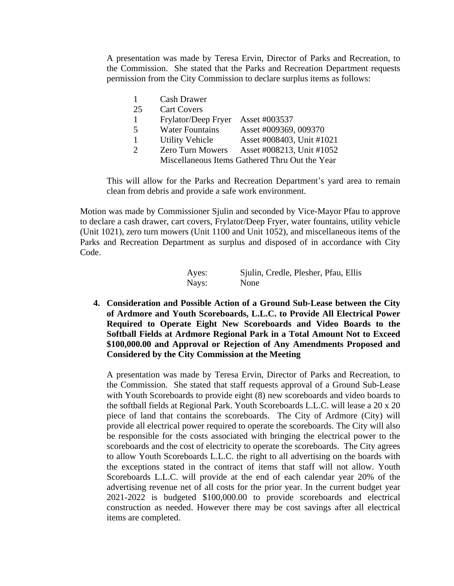A presentation was made by Teresa Ervin, Director of Parks and Recreation, to the Commission. She stated that the Parks and Recreation Department requests permission from the City Commission to declare surplus items as follows:

|               | <b>Cash Drawer</b>      |                                                |
|---------------|-------------------------|------------------------------------------------|
| 25            | <b>Cart Covers</b>      |                                                |
|               | Frylator/Deep Fryer     | Asset #003537                                  |
| -5            | <b>Water Fountains</b>  | Asset #009369, 009370                          |
|               | <b>Utility Vehicle</b>  | Asset #008403, Unit #1021                      |
| $\mathcal{D}$ | <b>Zero Turn Mowers</b> | Asset #008213, Unit #1052                      |
|               |                         | Miscellaneous Items Gathered Thru Out the Year |

This will allow for the Parks and Recreation Department's yard area to remain clean from debris and provide a safe work environment.

Motion was made by Commissioner Sjulin and seconded by Vice-Mayor Pfau to approve to declare a cash drawer, cart covers, Frylator/Deep Fryer, water fountains, utility vehicle (Unit 1021), zero turn mowers (Unit 1100 and Unit 1052), and miscellaneous items of the Parks and Recreation Department as surplus and disposed of in accordance with City Code.

| Ayes: | Sjulin, Credle, Plesher, Pfau, Ellis |
|-------|--------------------------------------|
| Nays: | None                                 |

**4. Consideration and Possible Action of a Ground Sub-Lease between the City of Ardmore and Youth Scoreboards, L.L.C. to Provide All Electrical Power Required to Operate Eight New Scoreboards and Video Boards to the Softball Fields at Ardmore Regional Park in a Total Amount Not to Exceed \$100,000.00 and Approval or Rejection of Any Amendments Proposed and Considered by the City Commission at the Meeting**

A presentation was made by Teresa Ervin, Director of Parks and Recreation, to the Commission. She stated that staff requests approval of a Ground Sub-Lease with Youth Scoreboards to provide eight (8) new scoreboards and video boards to the softball fields at Regional Park. Youth Scoreboards L.L.C. will lease a 20 x 20 piece of land that contains the scoreboards. The City of Ardmore (City) will provide all electrical power required to operate the scoreboards. The City will also be responsible for the costs associated with bringing the electrical power to the scoreboards and the cost of electricity to operate the scoreboards. The City agrees to allow Youth Scoreboards L.L.C. the right to all advertising on the boards with the exceptions stated in the contract of items that staff will not allow. Youth Scoreboards L.L.C. will provide at the end of each calendar year 20% of the advertising revenue net of all costs for the prior year. In the current budget year 2021-2022 is budgeted \$100,000.00 to provide scoreboards and electrical construction as needed. However there may be cost savings after all electrical items are completed.